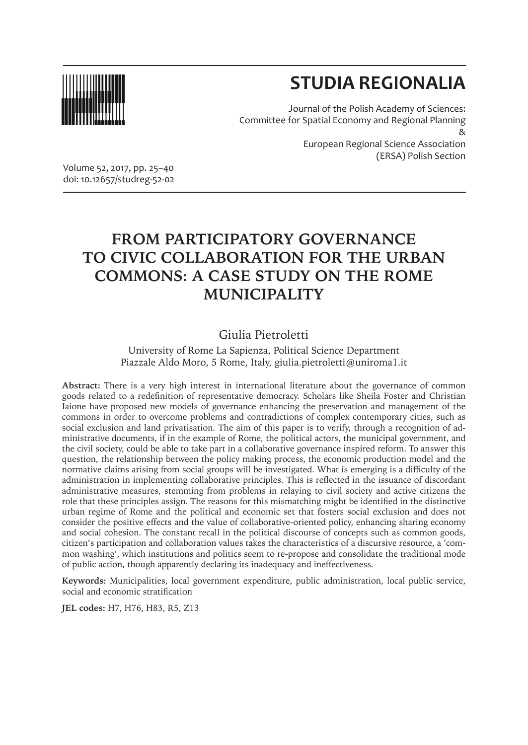

# **STUDIA REGIONALIA**

Journal of the Polish Academy of Sciences: Committee for Spatial Economy and Regional Planning & European Regional Science Association (ERSA) Polish Section

Volume 52, 2017, pp. 25–40 doi: 10.12657/studreg-52-02

## **FROM PARTICIPATORY GOVERNANCE TO CIVIC COLLABORATION FOR THE URBAN COMMONS: A CASE STUDY ON THE ROME MUNICIPALITY**

## Giulia Pietroletti

University of Rome La Sapienza, Political Science Department Piazzale Aldo Moro, 5 Rome, Italy, giulia.pietroletti@uniroma1.it

**Abstract:** There is a very high interest in international literature about the governance of common goods related to a redefinition of representative democracy. Scholars like Sheila Foster and Christian Iaione have proposed new models of governance enhancing the preservation and management of the commons in order to overcome problems and contradictions of complex contemporary cities, such as social exclusion and land privatisation. The aim of this paper is to verify, through a recognition of administrative documents, if in the example of Rome, the political actors, the municipal government, and the civil society, could be able to take part in a collaborative governance inspired reform. To answer this question, the relationship between the policy making process, the economic production model and the normative claims arising from social groups will be investigated. What is emerging is a difficulty of the administration in implementing collaborative principles. This is reflected in the issuance of discordant administrative measures, stemming from problems in relaying to civil society and active citizens the role that these principles assign. The reasons for this mismatching might be identified in the distinctive urban regime of Rome and the political and economic set that fosters social exclusion and does not consider the positive effects and the value of collaborative-oriented policy, enhancing sharing economy and social cohesion. The constant recall in the political discourse of concepts such as common goods, citizen's participation and collaboration values takes the characteristics of a discursive resource, a 'common washing', which institutions and politics seem to re-propose and consolidate the traditional mode of public action, though apparently declaring its inadequacy and ineffectiveness.

**Keywords:** Municipalities, local government expenditure, public administration, local public service, social and economic stratification

**JEL codes:** H7, H76, H83, R5, Z13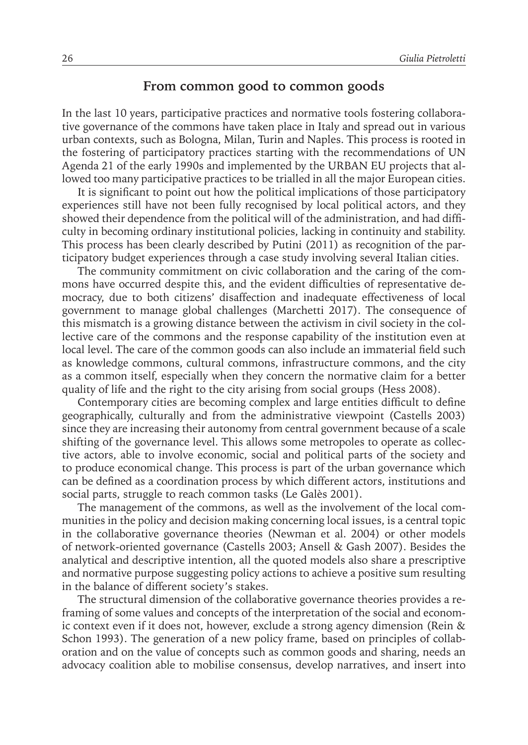#### **From common good to common goods**

In the last 10 years, participative practices and normative tools fostering collaborative governance of the commons have taken place in Italy and spread out in various urban contexts, such as Bologna, Milan, Turin and Naples. This process is rooted in the fostering of participatory practices starting with the recommendations of UN Agenda 21 of the early 1990s and implemented by the URBAN EU projects that allowed too many participative practices to be trialled in all the major European cities.

It is significant to point out how the political implications of those participatory experiences still have not been fully recognised by local political actors, and they showed their dependence from the political will of the administration, and had difficulty in becoming ordinary institutional policies, lacking in continuity and stability. This process has been clearly described by Putini (2011) as recognition of the participatory budget experiences through a case study involving several Italian cities.

The community commitment on civic collaboration and the caring of the commons have occurred despite this, and the evident difficulties of representative democracy, due to both citizens' disaffection and inadequate effectiveness of local government to manage global challenges (Marchetti 2017). The consequence of this mismatch is a growing distance between the activism in civil society in the collective care of the commons and the response capability of the institution even at local level. The care of the common goods can also include an immaterial field such as knowledge commons, cultural commons, infrastructure commons, and the city as a common itself, especially when they concern the normative claim for a better quality of life and the right to the city arising from social groups (Hess 2008).

Contemporary cities are becoming complex and large entities difficult to define geographically, culturally and from the administrative viewpoint (Castells 2003) since they are increasing their autonomy from central government because of a scale shifting of the governance level. This allows some metropoles to operate as collective actors, able to involve economic, social and political parts of the society and to produce economical change. This process is part of the urban governance which can be defined as a coordination process by which different actors, institutions and social parts, struggle to reach common tasks (Le Galès 2001).

The management of the commons, as well as the involvement of the local communities in the policy and decision making concerning local issues, is a central topic in the collaborative governance theories (Newman et al. 2004) or other models of network-oriented governance (Castells 2003; Ansell & Gash 2007). Besides the analytical and descriptive intention, all the quoted models also share a prescriptive and normative purpose suggesting policy actions to achieve a positive sum resulting in the balance of different society's stakes.

The structural dimension of the collaborative governance theories provides a reframing of some values and concepts of the interpretation of the social and economic context even if it does not, however, exclude a strong agency dimension (Rein & Schon 1993). The generation of a new policy frame, based on principles of collaboration and on the value of concepts such as common goods and sharing, needs an advocacy coalition able to mobilise consensus, develop narratives, and insert into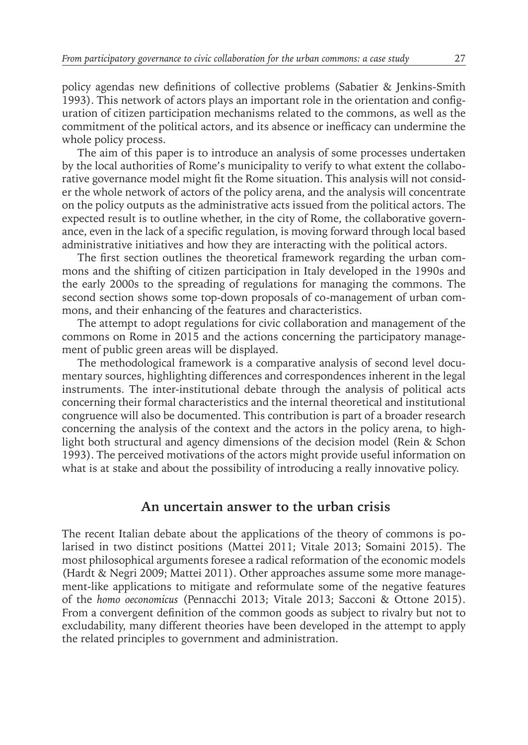policy agendas new definitions of collective problems (Sabatier & Jenkins-Smith 1993). This network of actors plays an important role in the orientation and configuration of citizen participation mechanisms related to the commons, as well as the commitment of the political actors, and its absence or inefficacy can undermine the whole policy process.

The aim of this paper is to introduce an analysis of some processes undertaken by the local authorities of Rome's municipality to verify to what extent the collaborative governance model might fit the Rome situation. This analysis will not consider the whole network of actors of the policy arena, and the analysis will concentrate on the policy outputs as the administrative acts issued from the political actors. The expected result is to outline whether, in the city of Rome, the collaborative governance, even in the lack of a specific regulation, is moving forward through local based administrative initiatives and how they are interacting with the political actors.

The first section outlines the theoretical framework regarding the urban commons and the shifting of citizen participation in Italy developed in the 1990s and the early 2000s to the spreading of regulations for managing the commons. The second section shows some top-down proposals of co-management of urban commons, and their enhancing of the features and characteristics.

The attempt to adopt regulations for civic collaboration and management of the commons on Rome in 2015 and the actions concerning the participatory management of public green areas will be displayed.

The methodological framework is a comparative analysis of second level documentary sources, highlighting differences and correspondences inherent in the legal instruments. The inter-institutional debate through the analysis of political acts concerning their formal characteristics and the internal theoretical and institutional congruence will also be documented. This contribution is part of a broader research concerning the analysis of the context and the actors in the policy arena, to highlight both structural and agency dimensions of the decision model (Rein & Schon 1993). The perceived motivations of the actors might provide useful information on what is at stake and about the possibility of introducing a really innovative policy.

#### **An uncertain answer to the urban crisis**

The recent Italian debate about the applications of the theory of commons is polarised in two distinct positions (Mattei 2011; Vitale 2013; Somaini 2015). The most philosophical arguments foresee a radical reformation of the economic models (Hardt & Negri 2009; Mattei 2011). Other approaches assume some more management-like applications to mitigate and reformulate some of the negative features of the *homo oeconomicus* (Pennacchi 2013; Vitale 2013; Sacconi & Ottone 2015). From a convergent definition of the common goods as subject to rivalry but not to excludability, many different theories have been developed in the attempt to apply the related principles to government and administration.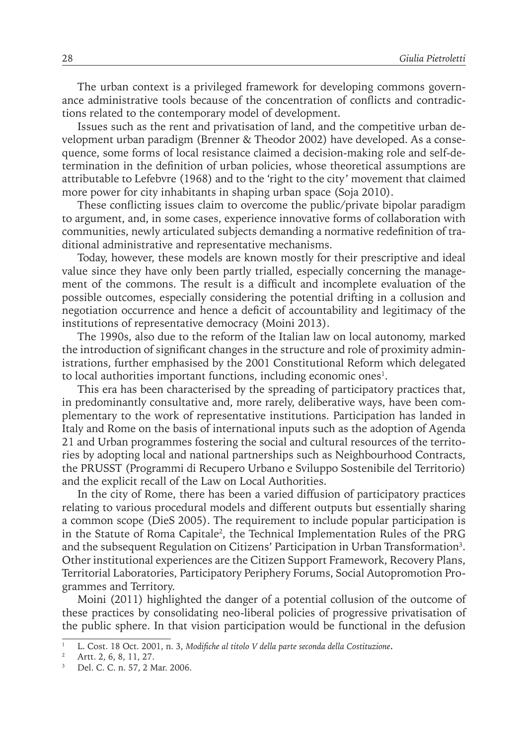The urban context is a privileged framework for developing commons governance administrative tools because of the concentration of conflicts and contradictions related to the contemporary model of development.

Issues such as the rent and privatisation of land, and the competitive urban development urban paradigm (Brenner & Theodor 2002) have developed. As a consequence, some forms of local resistance claimed a decision-making role and self-determination in the definition of urban policies, whose theoretical assumptions are attributable to Lefebvre (1968) and to the 'right to the city' movement that claimed more power for city inhabitants in shaping urban space (Soja 2010).

These conflicting issues claim to overcome the public/private bipolar paradigm to argument, and, in some cases, experience innovative forms of collaboration with communities, newly articulated subjects demanding a normative redefinition of traditional administrative and representative mechanisms.

Today, however, these models are known mostly for their prescriptive and ideal value since they have only been partly trialled, especially concerning the management of the commons. The result is a difficult and incomplete evaluation of the possible outcomes, especially considering the potential drifting in a collusion and negotiation occurrence and hence a deficit of accountability and legitimacy of the institutions of representative democracy (Moini 2013).

The 1990s, also due to the reform of the Italian law on local autonomy, marked the introduction of significant changes in the structure and role of proximity administrations, further emphasised by the 2001 Constitutional Reform which delegated to local authorities important functions, including economic ones $^{\rm l}$ .

This era has been characterised by the spreading of participatory practices that, in predominantly consultative and, more rarely, deliberative ways, have been complementary to the work of representative institutions. Participation has landed in Italy and Rome on the basis of international inputs such as the adoption of Agenda 21 and Urban programmes fostering the social and cultural resources of the territories by adopting local and national partnerships such as Neighbourhood Contracts, the PRUSST (Programmi di Recupero Urbano e Sviluppo Sostenibile del Territorio) and the explicit recall of the Law on Local Authorities.

In the city of Rome, there has been a varied diffusion of participatory practices relating to various procedural models and different outputs but essentially sharing a common scope (DieS 2005). The requirement to include popular participation is in the Statute of Roma Capitale<sup>2</sup>, the Technical Implementation Rules of the PRG and the subsequent Regulation on Citizens' Participation in Urban Transformation<sup>3</sup>. Other institutional experiences are the Citizen Support Framework, Recovery Plans, Territorial Laboratories, Participatory Periphery Forums, Social Autopromotion Programmes and Territory.

Moini (2011) highlighted the danger of a potential collusion of the outcome of these practices by consolidating neo-liberal policies of progressive privatisation of the public sphere. In that vision participation would be functional in the defusion

<sup>1</sup> L. Cost. 18 Oct. 2001, n. 3, *Modifiche al titolo V della parte seconda della Costituzione***.**

<sup>2</sup> Artt. 2, 6, 8, 11, 27.

Del. C. C. n. 57, 2 Mar. 2006.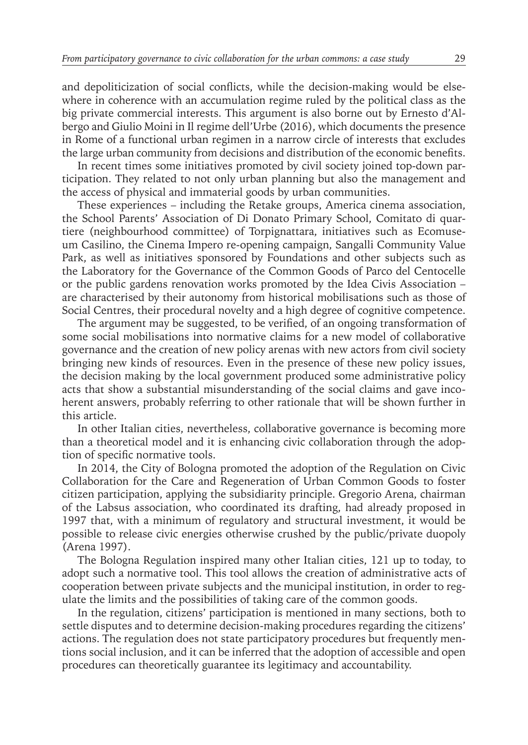and depoliticization of social conflicts, while the decision-making would be elsewhere in coherence with an accumulation regime ruled by the political class as the big private commercial interests. This argument is also borne out by Ernesto d'Albergo and Giulio Moini in Il regime dell'Urbe (2016), which documents the presence in Rome of a functional urban regimen in a narrow circle of interests that excludes the large urban community from decisions and distribution of the economic benefits.

In recent times some initiatives promoted by civil society joined top-down participation. They related to not only urban planning but also the management and the access of physical and immaterial goods by urban communities.

These experiences – including the Retake groups, America cinema association, the School Parents' Association of Di Donato Primary School, Comitato di quartiere (neighbourhood committee) of Torpignattara, initiatives such as Ecomuseum Casilino, the Cinema Impero re-opening campaign, Sangalli Community Value Park, as well as initiatives sponsored by Foundations and other subjects such as the Laboratory for the Governance of the Common Goods of Parco del Centocelle or the public gardens renovation works promoted by the Idea Civis Association – are characterised by their autonomy from historical mobilisations such as those of Social Centres, their procedural novelty and a high degree of cognitive competence.

The argument may be suggested, to be verified, of an ongoing transformation of some social mobilisations into normative claims for a new model of collaborative governance and the creation of new policy arenas with new actors from civil society bringing new kinds of resources. Even in the presence of these new policy issues, the decision making by the local government produced some administrative policy acts that show a substantial misunderstanding of the social claims and gave incoherent answers, probably referring to other rationale that will be shown further in this article.

In other Italian cities, nevertheless, collaborative governance is becoming more than a theoretical model and it is enhancing civic collaboration through the adoption of specific normative tools.

In 2014, the City of Bologna promoted the adoption of the Regulation on Civic Collaboration for the Care and Regeneration of Urban Common Goods to foster citizen participation, applying the subsidiarity principle. Gregorio Arena, chairman of the Labsus association, who coordinated its drafting, had already proposed in 1997 that, with a minimum of regulatory and structural investment, it would be possible to release civic energies otherwise crushed by the public/private duopoly (Arena 1997).

The Bologna Regulation inspired many other Italian cities, 121 up to today, to adopt such a normative tool. This tool allows the creation of administrative acts of cooperation between private subjects and the municipal institution, in order to regulate the limits and the possibilities of taking care of the common goods.

In the regulation, citizens' participation is mentioned in many sections, both to settle disputes and to determine decision-making procedures regarding the citizens' actions. The regulation does not state participatory procedures but frequently mentions social inclusion, and it can be inferred that the adoption of accessible and open procedures can theoretically guarantee its legitimacy and accountability.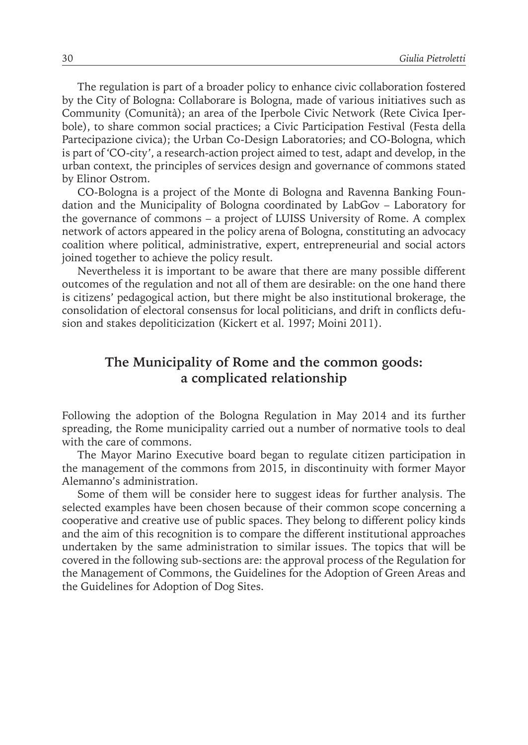The regulation is part of a broader policy to enhance civic collaboration fostered by the City of Bologna: Collaborare is Bologna, made of various initiatives such as Community (Comunità); an area of the Iperbole Civic Network (Rete Civica Iperbole), to share common social practices; a Civic Participation Festival (Festa della Partecipazione civica); the Urban Co-Design Laboratories; and CO-Bologna, which is part of 'CO-city', a research-action project aimed to test, adapt and develop, in the urban context, the principles of services design and governance of commons stated by Elinor Ostrom.

CO-Bologna is a project of the Monte di Bologna and Ravenna Banking Foundation and the Municipality of Bologna coordinated by LabGov – Laboratory for the governance of commons – a project of LUISS University of Rome. A complex network of actors appeared in the policy arena of Bologna, constituting an advocacy coalition where political, administrative, expert, entrepreneurial and social actors joined together to achieve the policy result.

Nevertheless it is important to be aware that there are many possible different outcomes of the regulation and not all of them are desirable: on the one hand there is citizens' pedagogical action, but there might be also institutional brokerage, the consolidation of electoral consensus for local politicians, and drift in conflicts defusion and stakes depoliticization (Kickert et al. 1997; Moini 2011).

## **The Municipality of Rome and the common goods: a complicated relationship**

Following the adoption of the Bologna Regulation in May 2014 and its further spreading, the Rome municipality carried out a number of normative tools to deal with the care of commons.

The Mayor Marino Executive board began to regulate citizen participation in the management of the commons from 2015, in discontinuity with former Mayor Alemanno's administration.

Some of them will be consider here to suggest ideas for further analysis. The selected examples have been chosen because of their common scope concerning a cooperative and creative use of public spaces. They belong to different policy kinds and the aim of this recognition is to compare the different institutional approaches undertaken by the same administration to similar issues. The topics that will be covered in the following sub-sections are: the approval process of the Regulation for the Management of Commons, the Guidelines for the Adoption of Green Areas and the Guidelines for Adoption of Dog Sites.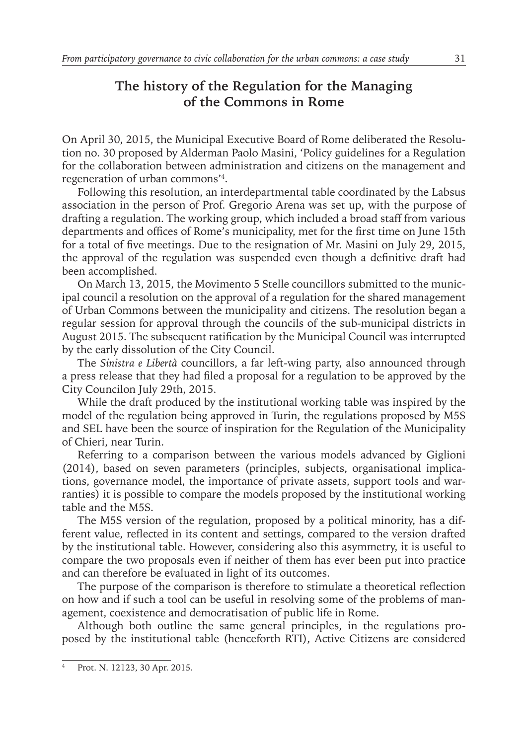## **The history of the Regulation for the Managing of the Commons in Rome**

On April 30, 2015, the Municipal Executive Board of Rome deliberated the Resolution no. 30 proposed by Alderman Paolo Masini, 'Policy guidelines for a Regulation for the collaboration between administration and citizens on the management and regeneration of urban commons'4 .

Following this resolution, an interdepartmental table coordinated by the Labsus association in the person of Prof. Gregorio Arena was set up, with the purpose of drafting a regulation. The working group, which included a broad staff from various departments and offices of Rome's municipality, met for the first time on June 15th for a total of five meetings. Due to the resignation of Mr. Masini on July 29, 2015, the approval of the regulation was suspended even though a definitive draft had been accomplished.

On March 13, 2015, the Movimento 5 Stelle councillors submitted to the municipal council a resolution on the approval of a regulation for the shared management of Urban Commons between the municipality and citizens. The resolution began a regular session for approval through the councils of the sub-municipal districts in August 2015. The subsequent ratification by the Municipal Council was interrupted by the early dissolution of the City Council.

The *Sinistra e Libertà* councillors, a far left-wing party, also announced through a press release that they had filed a proposal for a regulation to be approved by the City Councilon July 29th, 2015.

While the draft produced by the institutional working table was inspired by the model of the regulation being approved in Turin, the regulations proposed by M5S and SEL have been the source of inspiration for the Regulation of the Municipality of Chieri, near Turin.

Referring to a comparison between the various models advanced by Giglioni (2014), based on seven parameters (principles, subjects, organisational implications, governance model, the importance of private assets, support tools and warranties) it is possible to compare the models proposed by the institutional working table and the M5S.

The M5S version of the regulation, proposed by a political minority, has a different value, reflected in its content and settings, compared to the version drafted by the institutional table. However, considering also this asymmetry, it is useful to compare the two proposals even if neither of them has ever been put into practice and can therefore be evaluated in light of its outcomes.

The purpose of the comparison is therefore to stimulate a theoretical reflection on how and if such a tool can be useful in resolving some of the problems of management, coexistence and democratisation of public life in Rome.

Although both outline the same general principles, in the regulations proposed by the institutional table (henceforth RTI), Active Citizens are considered

Prot. N. 12123, 30 Apr. 2015.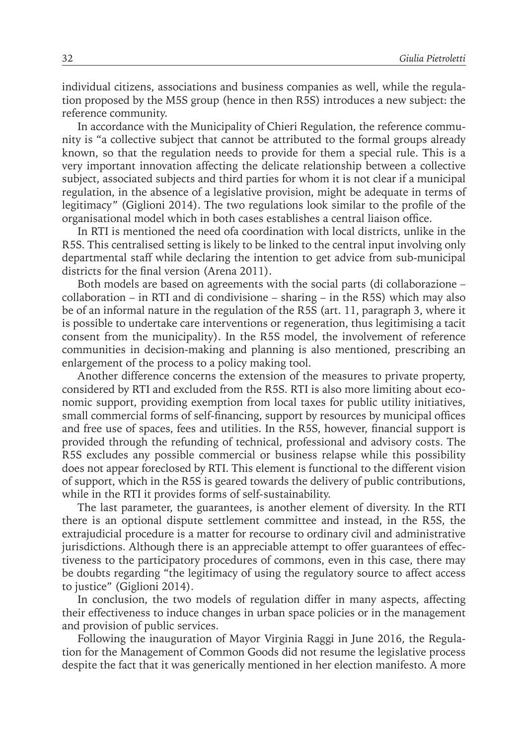individual citizens, associations and business companies as well, while the regulation proposed by the M5S group (hence in then R5S) introduces a new subject: the reference community.

In accordance with the Municipality of Chieri Regulation, the reference community is "a collective subject that cannot be attributed to the formal groups already known, so that the regulation needs to provide for them a special rule. This is a very important innovation affecting the delicate relationship between a collective subject, associated subjects and third parties for whom it is not clear if a municipal regulation, in the absence of a legislative provision, might be adequate in terms of legitimacy" (Giglioni 2014). The two regulations look similar to the profile of the organisational model which in both cases establishes a central liaison office.

In RTI is mentioned the need ofa coordination with local districts, unlike in the R5S. This centralised setting is likely to be linked to the central input involving only departmental staff while declaring the intention to get advice from sub-municipal districts for the final version (Arena 2011).

Both models are based on agreements with the social parts (di collaborazione – collaboration – in RTI and di condivisione – sharing – in the R5S) which may also be of an informal nature in the regulation of the R5S (art. 11, paragraph 3, where it is possible to undertake care interventions or regeneration, thus legitimising a tacit consent from the municipality). In the R5S model, the involvement of reference communities in decision-making and planning is also mentioned, prescribing an enlargement of the process to a policy making tool.

Another difference concerns the extension of the measures to private property, considered by RTI and excluded from the R5S. RTI is also more limiting about economic support, providing exemption from local taxes for public utility initiatives, small commercial forms of self-financing, support by resources by municipal offices and free use of spaces, fees and utilities. In the R5S, however, financial support is provided through the refunding of technical, professional and advisory costs. The R5S excludes any possible commercial or business relapse while this possibility does not appear foreclosed by RTI. This element is functional to the different vision of support, which in the R5S is geared towards the delivery of public contributions, while in the RTI it provides forms of self-sustainability.

The last parameter, the guarantees, is another element of diversity. In the RTI there is an optional dispute settlement committee and instead, in the R5S, the extrajudicial procedure is a matter for recourse to ordinary civil and administrative jurisdictions. Although there is an appreciable attempt to offer guarantees of effectiveness to the participatory procedures of commons, even in this case, there may be doubts regarding "the legitimacy of using the regulatory source to affect access to justice" (Giglioni 2014).

In conclusion, the two models of regulation differ in many aspects, affecting their effectiveness to induce changes in urban space policies or in the management and provision of public services.

Following the inauguration of Mayor Virginia Raggi in June 2016, the Regulation for the Management of Common Goods did not resume the legislative process despite the fact that it was generically mentioned in her election manifesto. A more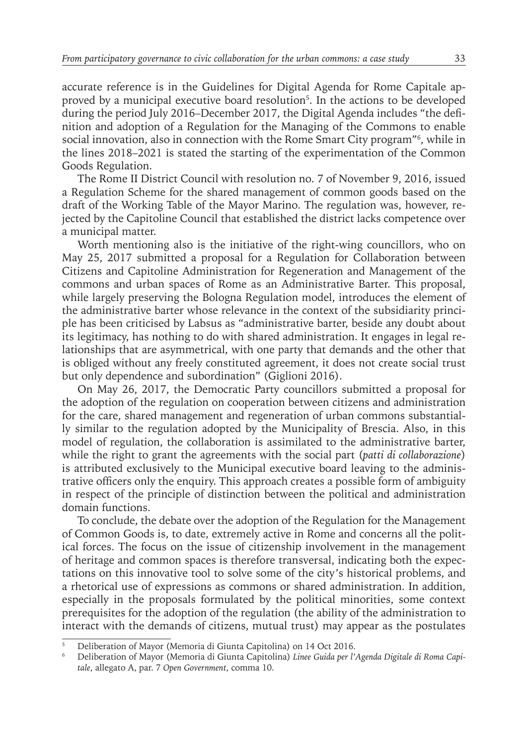accurate reference is in the Guidelines for Digital Agenda for Rome Capitale approved by a municipal executive board resolution<sup>5</sup>. In the actions to be developed during the period July 2016–December 2017, the Digital Agenda includes "the definition and adoption of a Regulation for the Managing of the Commons to enable social innovation, also in connection with the Rome Smart City program"<sup>6</sup> , while in the lines 2018–2021 is stated the starting of the experimentation of the Common Goods Regulation.

The Rome II District Council with resolution no. 7 of November 9, 2016, issued a Regulation Scheme for the shared management of common goods based on the draft of the Working Table of the Mayor Marino. The regulation was, however, rejected by the Capitoline Council that established the district lacks competence over a municipal matter.

Worth mentioning also is the initiative of the right-wing councillors, who on May 25, 2017 submitted a proposal for a Regulation for Collaboration between Citizens and Capitoline Administration for Regeneration and Management of the commons and urban spaces of Rome as an Administrative Barter. This proposal, while largely preserving the Bologna Regulation model, introduces the element of the administrative barter whose relevance in the context of the subsidiarity principle has been criticised by Labsus as "administrative barter, beside any doubt about its legitimacy, has nothing to do with shared administration. It engages in legal relationships that are asymmetrical, with one party that demands and the other that is obliged without any freely constituted agreement, it does not create social trust but only dependence and subordination" (Giglioni 2016).

On May 26, 2017, the Democratic Party councillors submitted a proposal for the adoption of the regulation on cooperation between citizens and administration for the care, shared management and regeneration of urban commons substantially similar to the regulation adopted by the Municipality of Brescia. Also, in this model of regulation, the collaboration is assimilated to the administrative barter, while the right to grant the agreements with the social part (*patti di collaborazione*) is attributed exclusively to the Municipal executive board leaving to the administrative officers only the enquiry. This approach creates a possible form of ambiguity in respect of the principle of distinction between the political and administration domain functions.

To conclude, the debate over the adoption of the Regulation for the Management of Common Goods is, to date, extremely active in Rome and concerns all the political forces. The focus on the issue of citizenship involvement in the management of heritage and common spaces is therefore transversal, indicating both the expectations on this innovative tool to solve some of the city's historical problems, and a rhetorical use of expressions as commons or shared administration. In addition, especially in the proposals formulated by the political minorities, some context prerequisites for the adoption of the regulation (the ability of the administration to interact with the demands of citizens, mutual trust) may appear as the postulates

<sup>5</sup> Deliberation of Mayor (Memoria di Giunta Capitolina) on 14 Oct 2016.

<sup>6</sup> Deliberation of Mayor (Memoria di Giunta Capitolina) *Linee Guida per l'Agenda Digitale di Roma Capitale*, allegato A, par. 7 *Open Government*, comma 10.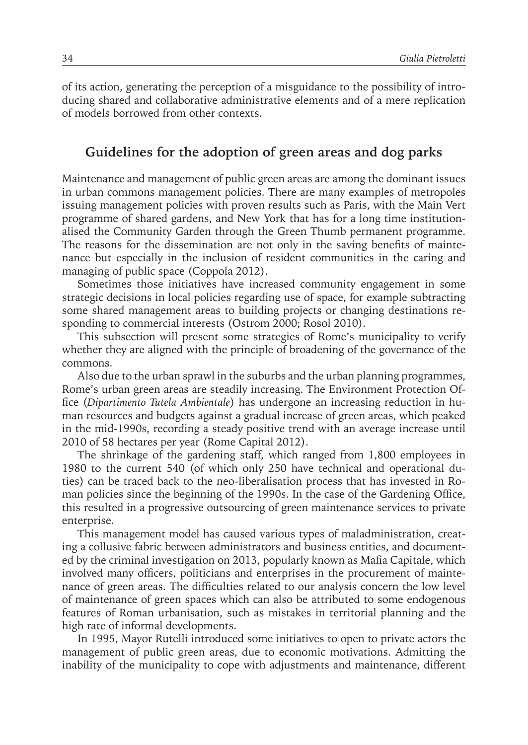of its action, generating the perception of a misguidance to the possibility of introducing shared and collaborative administrative elements and of a mere replication of models borrowed from other contexts.

## **Guidelines for the adoption of green areas and dog parks**

Maintenance and management of public green areas are among the dominant issues in urban commons management policies. There are many examples of metropoles issuing management policies with proven results such as Paris, with the Main Vert programme of shared gardens, and New York that has for a long time institutionalised the Community Garden through the Green Thumb permanent programme. The reasons for the dissemination are not only in the saving benefits of maintenance but especially in the inclusion of resident communities in the caring and managing of public space (Coppola 2012).

Sometimes those initiatives have increased community engagement in some strategic decisions in local policies regarding use of space, for example subtracting some shared management areas to building projects or changing destinations responding to commercial interests (Ostrom 2000; Rosol 2010).

This subsection will present some strategies of Rome's municipality to verify whether they are aligned with the principle of broadening of the governance of the commons.

Also due to the urban sprawl in the suburbs and the urban planning programmes, Rome's urban green areas are steadily increasing. The Environment Protection Office (*Dipartimento Tutela Ambientale*) has undergone an increasing reduction in human resources and budgets against a gradual increase of green areas, which peaked in the mid-1990s, recording a steady positive trend with an average increase until 2010 of 58 hectares per year (Rome Capital 2012).

The shrinkage of the gardening staff, which ranged from 1,800 employees in 1980 to the current 540 (of which only 250 have technical and operational duties) can be traced back to the neo-liberalisation process that has invested in Roman policies since the beginning of the 1990s. In the case of the Gardening Office, this resulted in a progressive outsourcing of green maintenance services to private enterprise.

This management model has caused various types of maladministration, creating a collusive fabric between administrators and business entities, and documented by the criminal investigation on 2013, popularly known as Mafia Capitale, which involved many officers, politicians and enterprises in the procurement of maintenance of green areas. The difficulties related to our analysis concern the low level of maintenance of green spaces which can also be attributed to some endogenous features of Roman urbanisation, such as mistakes in territorial planning and the high rate of informal developments.

In 1995, Mayor Rutelli introduced some initiatives to open to private actors the management of public green areas, due to economic motivations. Admitting the inability of the municipality to cope with adjustments and maintenance, different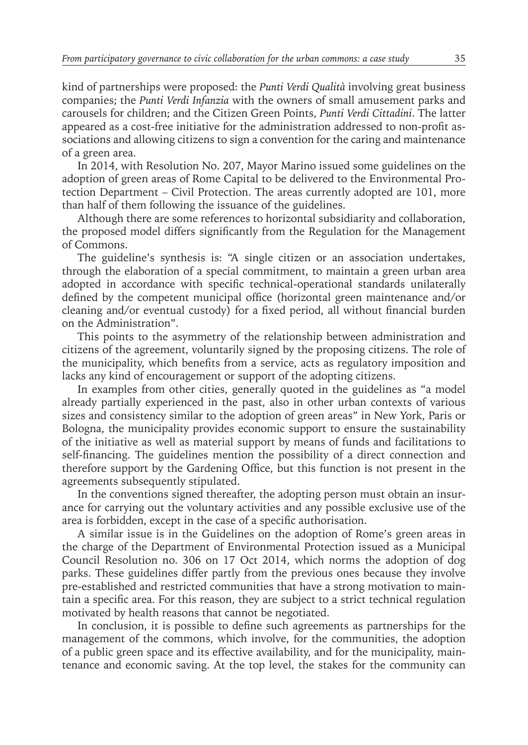kind of partnerships were proposed: the *Punti Verdi Qualità* involving great business companies; the *Punti Verdi Infanzia* with the owners of small amusement parks and carousels for children; and the Citizen Green Points, *Punti Verdi Cittadini*. The latter appeared as a cost-free initiative for the administration addressed to non-profit associations and allowing citizens to sign a convention for the caring and maintenance of a green area.

In 2014, with Resolution No. 207, Mayor Marino issued some guidelines on the adoption of green areas of Rome Capital to be delivered to the Environmental Protection Department – Civil Protection. The areas currently adopted are 101, more than half of them following the issuance of the guidelines.

Although there are some references to horizontal subsidiarity and collaboration, the proposed model differs significantly from the Regulation for the Management of Commons.

The guideline's synthesis is: "A single citizen or an association undertakes, through the elaboration of a special commitment, to maintain a green urban area adopted in accordance with specific technical-operational standards unilaterally defined by the competent municipal office (horizontal green maintenance and/or cleaning and/or eventual custody) for a fixed period, all without financial burden on the Administration".

This points to the asymmetry of the relationship between administration and citizens of the agreement, voluntarily signed by the proposing citizens. The role of the municipality, which benefits from a service, acts as regulatory imposition and lacks any kind of encouragement or support of the adopting citizens.

In examples from other cities, generally quoted in the guidelines as "a model already partially experienced in the past, also in other urban contexts of various sizes and consistency similar to the adoption of green areas" in New York, Paris or Bologna, the municipality provides economic support to ensure the sustainability of the initiative as well as material support by means of funds and facilitations to self-financing. The guidelines mention the possibility of a direct connection and therefore support by the Gardening Office, but this function is not present in the agreements subsequently stipulated.

In the conventions signed thereafter, the adopting person must obtain an insurance for carrying out the voluntary activities and any possible exclusive use of the area is forbidden, except in the case of a specific authorisation.

A similar issue is in the Guidelines on the adoption of Rome's green areas in the charge of the Department of Environmental Protection issued as a Municipal Council Resolution no. 306 on 17 Oct 2014, which norms the adoption of dog parks. These guidelines differ partly from the previous ones because they involve pre-established and restricted communities that have a strong motivation to maintain a specific area. For this reason, they are subject to a strict technical regulation motivated by health reasons that cannot be negotiated.

In conclusion, it is possible to define such agreements as partnerships for the management of the commons, which involve, for the communities, the adoption of a public green space and its effective availability, and for the municipality, maintenance and economic saving. At the top level, the stakes for the community can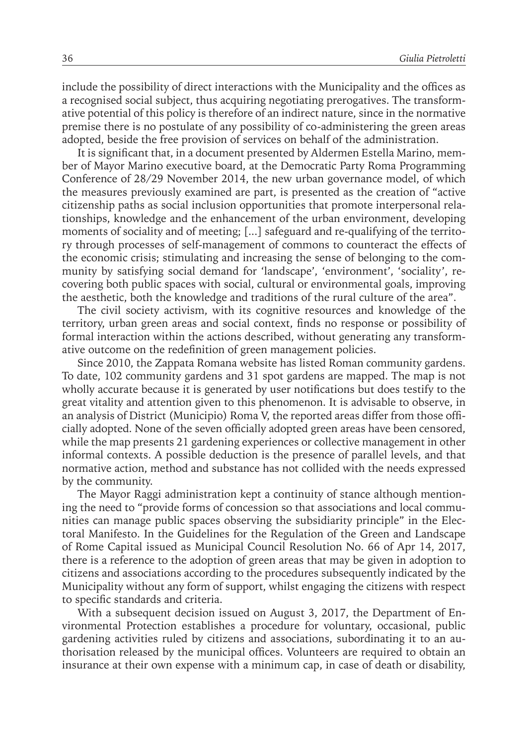include the possibility of direct interactions with the Municipality and the offices as a recognised social subject, thus acquiring negotiating prerogatives. The transformative potential of this policy is therefore of an indirect nature, since in the normative premise there is no postulate of any possibility of co-administering the green areas adopted, beside the free provision of services on behalf of the administration.

It is significant that, in a document presented by Aldermen Estella Marino, member of Mayor Marino executive board, at the Democratic Party Roma Programming Conference of 28/29 November 2014, the new urban governance model, of which the measures previously examined are part, is presented as the creation of "active citizenship paths as social inclusion opportunities that promote interpersonal relationships, knowledge and the enhancement of the urban environment, developing moments of sociality and of meeting; [...] safeguard and re-qualifying of the territory through processes of self-management of commons to counteract the effects of the economic crisis; stimulating and increasing the sense of belonging to the community by satisfying social demand for 'landscape', 'environment', 'sociality', recovering both public spaces with social, cultural or environmental goals, improving the aesthetic, both the knowledge and traditions of the rural culture of the area".

The civil society activism, with its cognitive resources and knowledge of the territory, urban green areas and social context, finds no response or possibility of formal interaction within the actions described, without generating any transformative outcome on the redefinition of green management policies.

Since 2010, the Zappata Romana website has listed Roman community gardens. To date, 102 community gardens and 31 spot gardens are mapped. The map is not wholly accurate because it is generated by user notifications but does testify to the great vitality and attention given to this phenomenon. It is advisable to observe, in an analysis of District (Municipio) Roma V, the reported areas differ from those officially adopted. None of the seven officially adopted green areas have been censored, while the map presents 21 gardening experiences or collective management in other informal contexts. A possible deduction is the presence of parallel levels, and that normative action, method and substance has not collided with the needs expressed by the community.

The Mayor Raggi administration kept a continuity of stance although mentioning the need to "provide forms of concession so that associations and local communities can manage public spaces observing the subsidiarity principle" in the Electoral Manifesto. In the Guidelines for the Regulation of the Green and Landscape of Rome Capital issued as Municipal Council Resolution No. 66 of Apr 14, 2017, there is a reference to the adoption of green areas that may be given in adoption to citizens and associations according to the procedures subsequently indicated by the Municipality without any form of support, whilst engaging the citizens with respect to specific standards and criteria.

With a subsequent decision issued on August 3, 2017, the Department of Environmental Protection establishes a procedure for voluntary, occasional, public gardening activities ruled by citizens and associations, subordinating it to an authorisation released by the municipal offices. Volunteers are required to obtain an insurance at their own expense with a minimum cap, in case of death or disability,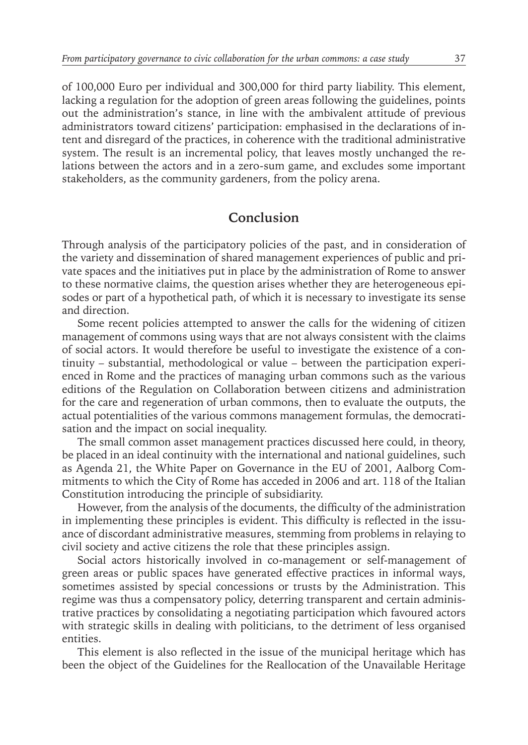of 100,000 Euro per individual and 300,000 for third party liability. This element, lacking a regulation for the adoption of green areas following the guidelines, points out the administration's stance, in line with the ambivalent attitude of previous administrators toward citizens' participation: emphasised in the declarations of intent and disregard of the practices, in coherence with the traditional administrative system. The result is an incremental policy, that leaves mostly unchanged the relations between the actors and in a zero-sum game, and excludes some important stakeholders, as the community gardeners, from the policy arena.

## **Conclusion**

Through analysis of the participatory policies of the past, and in consideration of the variety and dissemination of shared management experiences of public and private spaces and the initiatives put in place by the administration of Rome to answer to these normative claims, the question arises whether they are heterogeneous episodes or part of a hypothetical path, of which it is necessary to investigate its sense and direction.

Some recent policies attempted to answer the calls for the widening of citizen management of commons using ways that are not always consistent with the claims of social actors. It would therefore be useful to investigate the existence of a continuity – substantial, methodological or value – between the participation experienced in Rome and the practices of managing urban commons such as the various editions of the Regulation on Collaboration between citizens and administration for the care and regeneration of urban commons, then to evaluate the outputs, the actual potentialities of the various commons management formulas, the democratisation and the impact on social inequality.

The small common asset management practices discussed here could, in theory, be placed in an ideal continuity with the international and national guidelines, such as Agenda 21, the White Paper on Governance in the EU of 2001, Aalborg Commitments to which the City of Rome has acceded in 2006 and art. 118 of the Italian Constitution introducing the principle of subsidiarity.

However, from the analysis of the documents, the difficulty of the administration in implementing these principles is evident. This difficulty is reflected in the issuance of discordant administrative measures, stemming from problems in relaying to civil society and active citizens the role that these principles assign.

Social actors historically involved in co-management or self-management of green areas or public spaces have generated effective practices in informal ways, sometimes assisted by special concessions or trusts by the Administration. This regime was thus a compensatory policy, deterring transparent and certain administrative practices by consolidating a negotiating participation which favoured actors with strategic skills in dealing with politicians, to the detriment of less organised entities.

This element is also reflected in the issue of the municipal heritage which has been the object of the Guidelines for the Reallocation of the Unavailable Heritage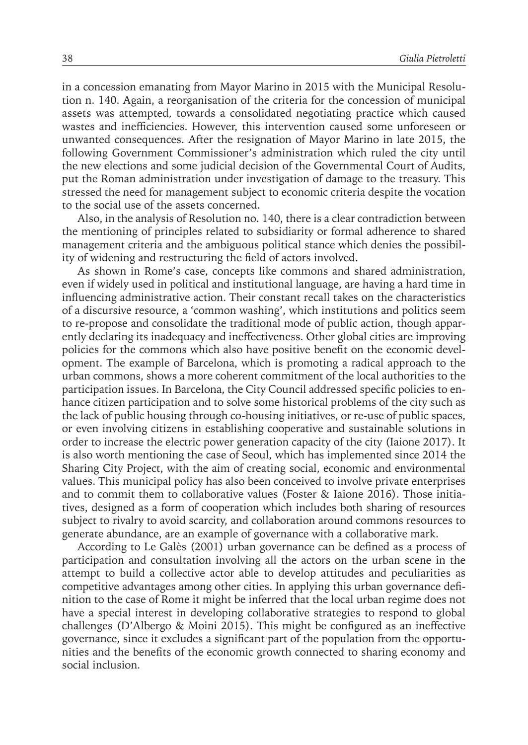in a concession emanating from Mayor Marino in 2015 with the Municipal Resolution n. 140. Again, a reorganisation of the criteria for the concession of municipal assets was attempted, towards a consolidated negotiating practice which caused wastes and inefficiencies. However, this intervention caused some unforeseen or unwanted consequences. After the resignation of Mayor Marino in late 2015, the following Government Commissioner's administration which ruled the city until the new elections and some judicial decision of the Governmental Court of Audits, put the Roman administration under investigation of damage to the treasury. This stressed the need for management subject to economic criteria despite the vocation to the social use of the assets concerned.

Also, in the analysis of Resolution no. 140, there is a clear contradiction between the mentioning of principles related to subsidiarity or formal adherence to shared management criteria and the ambiguous political stance which denies the possibility of widening and restructuring the field of actors involved.

As shown in Rome's case, concepts like commons and shared administration, even if widely used in political and institutional language, are having a hard time in influencing administrative action. Their constant recall takes on the characteristics of a discursive resource, a 'common washing', which institutions and politics seem to re-propose and consolidate the traditional mode of public action, though apparently declaring its inadequacy and ineffectiveness. Other global cities are improving policies for the commons which also have positive benefit on the economic development. The example of Barcelona, which is promoting a radical approach to the urban commons, shows a more coherent commitment of the local authorities to the participation issues. In Barcelona, the City Council addressed specific policies to enhance citizen participation and to solve some historical problems of the city such as the lack of public housing through co-housing initiatives, or re-use of public spaces, or even involving citizens in establishing cooperative and sustainable solutions in order to increase the electric power generation capacity of the city (Iaione 2017). It is also worth mentioning the case of Seoul, which has implemented since 2014 the Sharing City Project, with the aim of creating social, economic and environmental values. This municipal policy has also been conceived to involve private enterprises and to commit them to collaborative values (Foster & Iaione 2016). Those initiatives, designed as a form of cooperation which includes both sharing of resources subject to rivalry to avoid scarcity, and collaboration around commons resources to generate abundance, are an example of governance with a collaborative mark.

According to Le Galès (2001) urban governance can be defined as a process of participation and consultation involving all the actors on the urban scene in the attempt to build a collective actor able to develop attitudes and peculiarities as competitive advantages among other cities. In applying this urban governance definition to the case of Rome it might be inferred that the local urban regime does not have a special interest in developing collaborative strategies to respond to global challenges (D'Albergo & Moini 2015). This might be configured as an ineffective governance, since it excludes a significant part of the population from the opportunities and the benefits of the economic growth connected to sharing economy and social inclusion.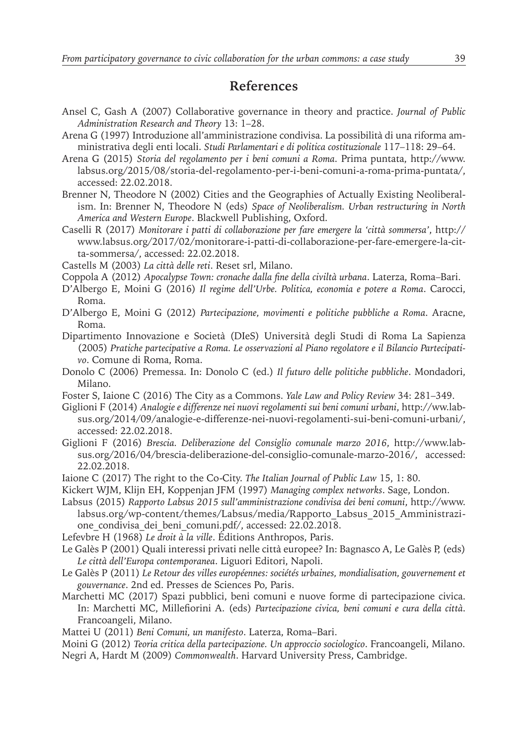## **References**

- Ansel C, Gash A (2007) Collaborative governance in theory and practice. *Journal of Public Administration Research and Theory* 13: 1–28.
- Arena G (1997) Introduzione all'amministrazione condivisa. La possibilità di una riforma amministrativa degli enti locali. *Studi Parlamentari e di politica costituzionale* 117–118: 29–64.
- Arena G (2015) *Storia del regolamento per i beni comuni a Roma*. Prima puntata, http://www. labsus.org/2015/08/storia-del-regolamento-per-i-beni-comuni-a-roma-prima-puntata/, accessed: 22.02.2018.
- Brenner N, Theodore N (2002) Cities and the Geographies of Actually Existing Neoliberalism. In: Brenner N, Theodore N (eds) *Space of Neoliberalism. Urban restructuring in North America and Western Europe*. Blackwell Publishing, Oxford.
- Caselli R (2017) *Monitorare i patti di collaborazione per fare emergere la 'città sommersa'*, http:// www.labsus.org/2017/02/monitorare-i-patti-di-collaborazione-per-fare-emergere-la-citta-sommersa/, accessed: 22.02.2018.

Castells M (2003) *La città delle reti*. Reset srl, Milano.

- Coppola A (2012) *Apocalypse Town: cronache dalla fine della civiltà urbana*. Laterza, Roma–Bari.
- D'Albergo E, Moini G (2016) *Il regime dell'Urbe. Politica, economia e potere a Roma*. Carocci, Roma.
- D'Albergo E, Moini G (2012) *Partecipazione, movimenti e politiche pubbliche a Roma*. Aracne, Roma.
- Dipartimento Innovazione e Società (DIeS) Università degli Studi di Roma La Sapienza (2005) *Pratiche partecipative a Roma. Le osservazioni al Piano regolatore e il Bilancio Partecipativo*. Comune di Roma, Roma.
- Donolo C (2006) Premessa. In: Donolo C (ed.) *Il futuro delle politiche pubbliche*. Mondadori, Milano.
- Foster S, Iaione C (2016) The City as a Commons. *Yale Law and Policy Review* 34: 281–349.
- Giglioni F (2014) *Analogie e differenze nei nuovi regolamenti sui beni comuni urbani*, http://ww.labsus.org/2014/09/analogie-e-differenze-nei-nuovi-regolamenti-sui-beni-comuni-urbani/, accessed: 22.02.2018.
- Giglioni F (2016) *Brescia. Deliberazione del Consiglio comunale marzo 2016*, http://www.labsus.org/2016/04/brescia-deliberazione-del-consiglio-comunale-marzo-2016/, accessed: 22.02.2018.
- Iaione C (2017) The right to the Co-City. *The Italian Journal of Public Law* 15, 1: 80.
- Kickert WJM, Klijn EH, Koppenjan JFM (1997) *Managing complex networks*. Sage, London.
- Labsus (2015) *Rapporto Labsus 2015 sull'amministrazione condivisa dei beni comuni*, http://www. labsus.org/wp-content/themes/Labsus/media/Rapporto\_Labsus\_2015\_Amministrazione\_condivisa\_dei\_beni\_comuni.pdf/, accessed: 22.02.2018.
- Lefevbre H (1968) *Le droit à la ville*. Éditions Anthropos, Paris.
- Le Galès P (2001) Quali interessi privati nelle città europee? In: Bagnasco A, Le Galès P, (eds) *Le città dell'Europa contemporanea*. Liguori Editori, Napoli.
- Le Galès P (2011) *Le Retour des villes européennes: sociétés urbaines, mondialisation, gouvernement et gouvernance*. 2nd ed. Presses de Sciences Po, Paris.
- Marchetti MC (2017) Spazi pubblici, beni comuni e nuove forme di partecipazione civica. In: Marchetti MC, Millefiorini A. (eds) *Partecipazione civica, beni comuni e cura della città*. Francoangeli, Milano.
- Mattei U (2011) *Beni Comuni, un manifesto*. Laterza, Roma–Bari.

Moini G (2012) *Teoria critica della partecipazione. Un approccio sociologico*. Francoangeli, Milano. Negri A, Hardt M (2009) *Commonwealth*. Harvard University Press, Cambridge.